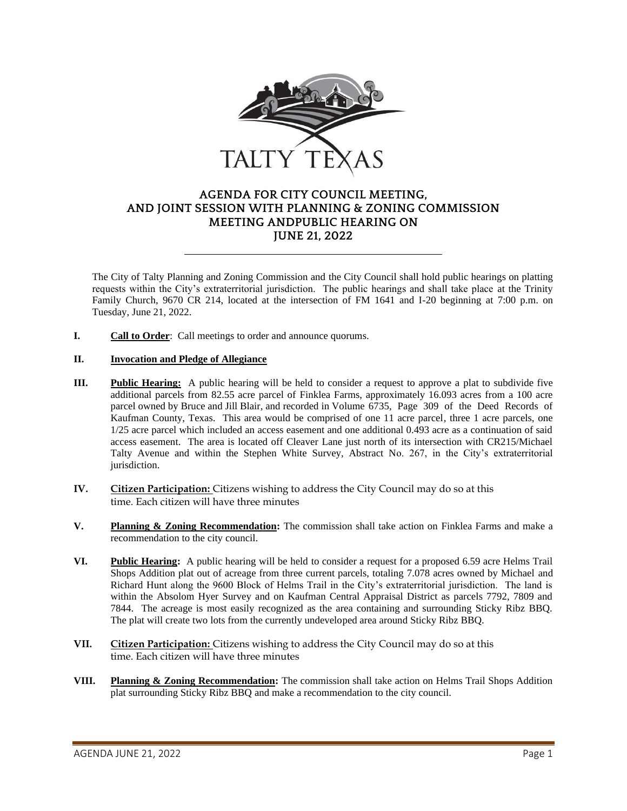

## **AGENDA FOR CITY COUNCIL MEETING, AND JOINT SESSION WITH PLANNING & ZONING COMMISSION MEETING ANDPUBLIC HEARING ON JUNE 21, 2022**

The City of Talty Planning and Zoning Commission and the City Council shall hold public hearings on platting requests within the City's extraterritorial jurisdiction. The public hearings and shall take place at the Trinity Family Church, 9670 CR 214, located at the intersection of FM 1641 and I-20 beginning at 7:00 p.m. on Tuesday, June 21, 2022.

**I. Call to Order**: Call meetings to order and announce quorums.

## **II. Invocation and Pledge of Allegiance**

- **III. Public Hearing:** A public hearing will be held to consider a request to approve a plat to subdivide five additional parcels from 82.55 acre parcel of Finklea Farms, approximately 16.093 acres from a 100 acre parcel owned by Bruce and Jill Blair, and recorded in Volume 6735, Page 309 of the Deed Records of Kaufman County, Texas. This area would be comprised of one 11 acre parcel, three 1 acre parcels, one 1/25 acre parcel which included an access easement and one additional 0.493 acre as a continuation of said access easement. The area is located off Cleaver Lane just north of its intersection with CR215/Michael Talty Avenue and within the Stephen White Survey, Abstract No. 267, in the City's extraterritorial jurisdiction.
- **IV. Citizen Participation:** Citizens wishing to address the City Council may do so at this time. Each citizen will have three minutes
- **V. Planning & Zoning Recommendation:** The commission shall take action on Finklea Farms and make a recommendation to the city council.
- **VI. Public Hearing:** A public hearing will be held to consider a request for a proposed 6.59 acre Helms Trail Shops Addition plat out of acreage from three current parcels, totaling 7.078 acres owned by Michael and Richard Hunt along the 9600 Block of Helms Trail in the City's extraterritorial jurisdiction. The land is within the Absolom Hyer Survey and on Kaufman Central Appraisal District as parcels 7792, 7809 and 7844. The acreage is most easily recognized as the area containing and surrounding Sticky Ribz BBQ. The plat will create two lots from the currently undeveloped area around Sticky Ribz BBQ.
- **VII. Citizen Participation:** Citizens wishing to address the City Council may do so at this time. Each citizen will have three minutes
- **VIII. Planning & Zoning Recommendation:** The commission shall take action on Helms Trail Shops Addition plat surrounding Sticky Ribz BBQ and make a recommendation to the city council.